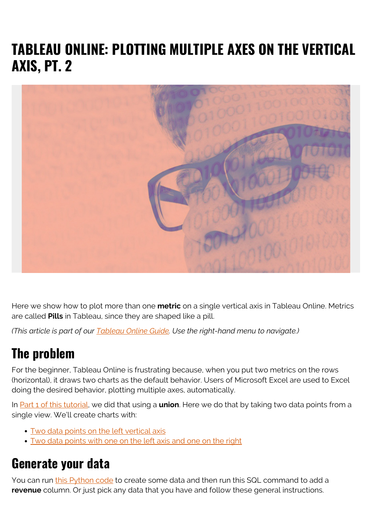# **TABLEAU ONLINE: PLOTTING MULTIPLE AXES ON THE VERTICAL AXIS, PT. 2**



Here we show how to plot more than one **metric** on a single vertical axis in Tableau Online. Metrics are called **Pills** in Tableau, since they are shaped like a pill.

*(This article is part of our [Tableau Online Guide.](https://blogs.bmc.com/blogs/tableau-basics/) Use the right-hand menu to navigate.)*

## **The problem**

For the beginner, Tableau Online is frustrating because, when you put two metrics on the rows (horizontal), it draws two charts as the default behavior. Users of Microsoft Excel are used to Excel doing the desired behavior, plotting multiple axes, automatically.

In [Part 1 of this tutorial,](https://blogs.bmc.com/blogs/tableau-plot-multiple-axes/) we did that using a **union**. Here we do that by taking two data points from a single view. We'll create charts with:

- [Two data points on the left vertical axis](#page--1-0)
- [Two data points with one on the left axis and one on the right](#page--1-0)

#### **Generate your data**

You can run [this Python code](https://github.com/werowe/tableau/blob/master/sales.ipynb) to create some data and then run this SQL command to add a **revenue** column. Or just pick any data that you have and follow these general instructions.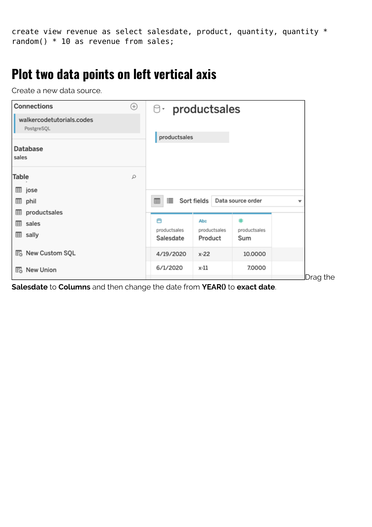create view revenue as select salesdate, product, quantity, quantity  $*$ random() \* 10 as revenue from sales;

### **Plot two data points on left vertical axis**

Create a new data source.

| <b>Connections</b>                            | ⊕ | <sup>O</sup> productsales      |                                |                          |          |
|-----------------------------------------------|---|--------------------------------|--------------------------------|--------------------------|----------|
| walkercodetutorials.codes<br>PostgreSQL       |   |                                |                                |                          |          |
| Database<br>sales                             |   | productsales                   |                                |                          |          |
| Table                                         | ρ |                                |                                |                          |          |
| <b>⊞</b> jose<br><b>田</b> phil                |   | 這<br>Sort fields<br>囲          |                                | Data source order        |          |
| productsales<br>▦<br>sales<br>囲<br>⊞<br>sally |   | 曲<br>productsales<br>Salesdate | Abc<br>productsales<br>Product | #<br>productsales<br>Sum |          |
| <b>B</b> New Custom SQL                       |   | 4/19/2020                      | $x-22$                         | 10.0000                  |          |
| <b>E</b> <sub>o</sub> New Union               |   | 6/1/2020                       | x-11                           | 7.0000                   | Drag the |

**Salesdate** to **Columns** and then change the date from **YEAR()** to **exact date**.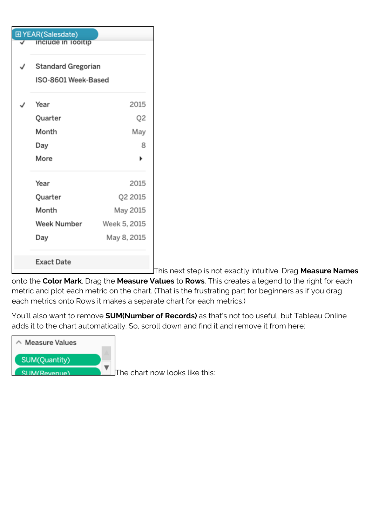| 田 YEAR(Salesdate) |                                                  |              |  |  |  |  |
|-------------------|--------------------------------------------------|--------------|--|--|--|--|
|                   | include in lookip                                |              |  |  |  |  |
|                   | <b>Standard Gregorian</b><br>ISO-8601 Week-Based |              |  |  |  |  |
|                   |                                                  |              |  |  |  |  |
|                   | Year                                             | 2015         |  |  |  |  |
|                   | Quarter                                          | Q2           |  |  |  |  |
|                   | Month                                            | May          |  |  |  |  |
|                   | Day                                              | 8            |  |  |  |  |
|                   | More                                             |              |  |  |  |  |
|                   | Year                                             | 2015         |  |  |  |  |
|                   | Quarter                                          | Q2 2015      |  |  |  |  |
|                   | Month                                            | May 2015     |  |  |  |  |
|                   | Week Number                                      | Week 5, 2015 |  |  |  |  |
|                   | Day                                              | May 8, 2015  |  |  |  |  |
|                   | <b>Exact Date</b>                                |              |  |  |  |  |

This next step is not exactly intuitive. Drag **Measure Names**

onto the **Color Mark**. Drag the **Measure Values** to **Rows**. This creates a legend to the right for each metric and plot each metric on the chart. (That is the frustrating part for beginners as if you drag each metrics onto Rows it makes a separate chart for each metrics.)

You'll also want to remove **SUM(Number of Records)** as that's not too useful, but Tableau Online adds it to the chart automatically. So, scroll down and find it and remove it from here:



The chart now looks like this: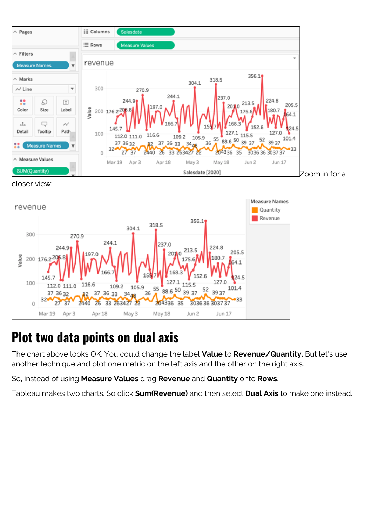

closer view:



## **Plot two data points on dual axis**

The chart above looks OK. You could change the label **Value** to **Revenue/Quantity.** But let's use another technique and plot one metric on the left axis and the other on the right axis.

So, instead of using **Measure Values** drag **Revenue** and **Quantity** onto **Rows**.

Tableau makes two charts. So click **Sum(Revenue)** and then select **Dual Axis** to make one instead.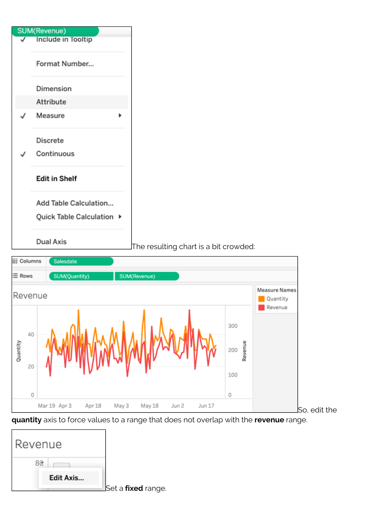



**quantity** axis to force values to a range that does not overlap with the **revenue** range.

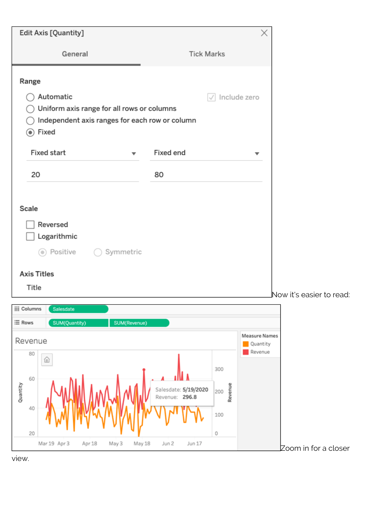| Edit Axis [Quantity]                                                                                                 |                                                                                                | ×                                           |                          |
|----------------------------------------------------------------------------------------------------------------------|------------------------------------------------------------------------------------------------|---------------------------------------------|--------------------------|
| General                                                                                                              | <b>Tick Marks</b>                                                                              |                                             |                          |
| Range                                                                                                                |                                                                                                |                                             |                          |
| Automatic<br>Uniform axis range for all rows or columns<br>Independent axis ranges for each row or column<br>⊙ Fixed | $\sqrt{ }$ Include zero                                                                        |                                             |                          |
| <b>Fixed start</b><br>▼                                                                                              | Fixed end                                                                                      | ▼                                           |                          |
| 20                                                                                                                   | 80                                                                                             |                                             |                          |
| Scale<br>Reversed<br>Logarithmic<br>⊙ Positive<br>Symmetric                                                          |                                                                                                |                                             |                          |
| <b>Axis Titles</b><br>Title                                                                                          |                                                                                                |                                             |                          |
|                                                                                                                      |                                                                                                |                                             | Now it's easier to read: |
| <b>iii</b> Columns<br>Salesdate<br>$\equiv$ Rows<br>SUM(Quantity)<br>SUM(Revenue)                                    |                                                                                                |                                             |                          |
| Revenue                                                                                                              |                                                                                                | <b>Measure Names</b><br>Quantity<br>Revenue |                          |
| 80<br>⋒<br>60<br>Quantity<br>40<br>20<br>Mar 19 Apr 3<br>Apr 18<br>May 3<br>May 18                                   | 300<br>Revenue<br>Salesdate: 5/19/2020<br>200<br>Revenue: 296.8<br>100<br>0<br>Jun 17<br>Jun 2 |                                             |                          |

view.

 $\gtrsim$ zoom in for a closer